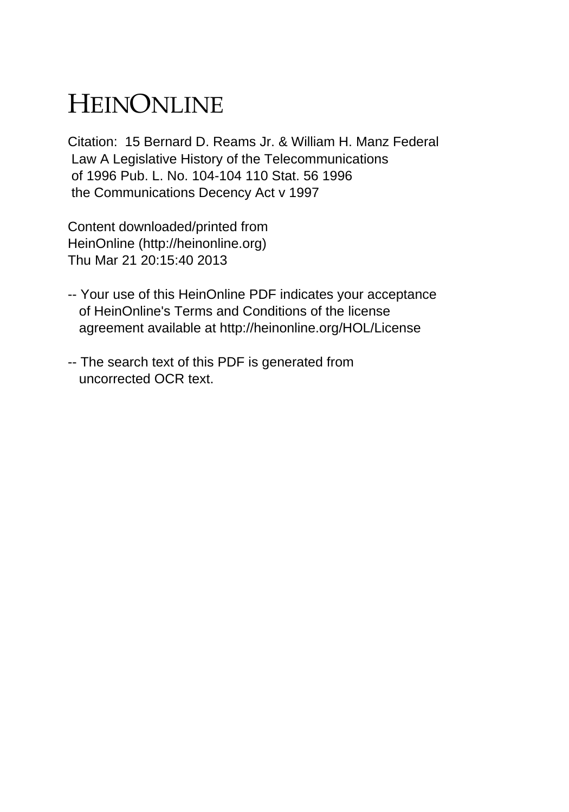## HEINONLINE

Citation: 15 Bernard D. Reams Jr. & William H. Manz Federal Law A Legislative History of the Telecommunications of 1996 Pub. L. No. 104-104 110 Stat. 56 1996 the Communications Decency Act v 1997

Content downloaded/printed from HeinOnline (http://heinonline.org) Thu Mar 21 20:15:40 2013

- -- Your use of this HeinOnline PDF indicates your acceptance of HeinOnline's Terms and Conditions of the license agreement available at http://heinonline.org/HOL/License
- -- The search text of this PDF is generated from uncorrected OCR text.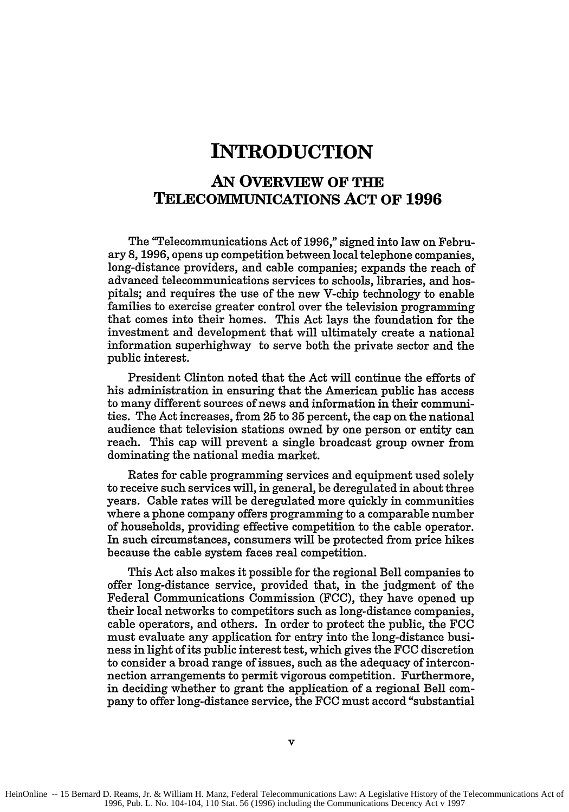## **INTRODUCTION**

## **AN OVERVIEW OF THE TELECOMMUNICATIONS ACT OF 1996**

The "Telecommunications Act of **1996,"** signed into law on February **8, 1996,** opens up competition between local telephone companies, long-distance providers, and cable companies; expands the reach of advanced telecommunications services to schools, libraries, and hospitals; and requires the use of the new V-chip technology to enable families to exercise greater control over the television programming that comes into their homes. This Act lays the foundation for the investment and development that will ultimately create a national information superhighway to serve both the private sector and the public interest.

President Clinton noted that the Act will continue the efforts of his administration in ensuring that the American public has access to many different sources of news and information in their communities. The Act increases, from **25** to **35** percent, the cap on the national audience that television stations owned **by** one person or entity can reach. This cap will prevent a single broadcast group owner from dominating the national media market.

Rates for cable programming services and equipment used solely to receive such services will, in general, be deregulated in about three years. Cable rates will be deregulated more quickly in communities where a phone company offers programming to a comparable number of households, providing effective competition to the cable operator. In such circumstances, consumers will be protected from price hikes because the cable system faces real competition.

This Act also makes it possible for the regional Bell companies to offer long-distance service, provided that, in the judgment of the Federal Communications Commission **(FCC),** they have opened up their local networks to competitors such as long-distance companies, cable operators, and others. In order to protect the public, the **FCC** must evaluate any application for entry into the long-distance business in light of its public interest test, which gives the **FCC** discretion to consider a broad range of issues, such as the adequacy of interconnection arrangements to permit vigorous competition. Furthermore, in deciding whether to grant the application of a regional Bell company to offer long-distance service, the **FCC** must accord "substantial